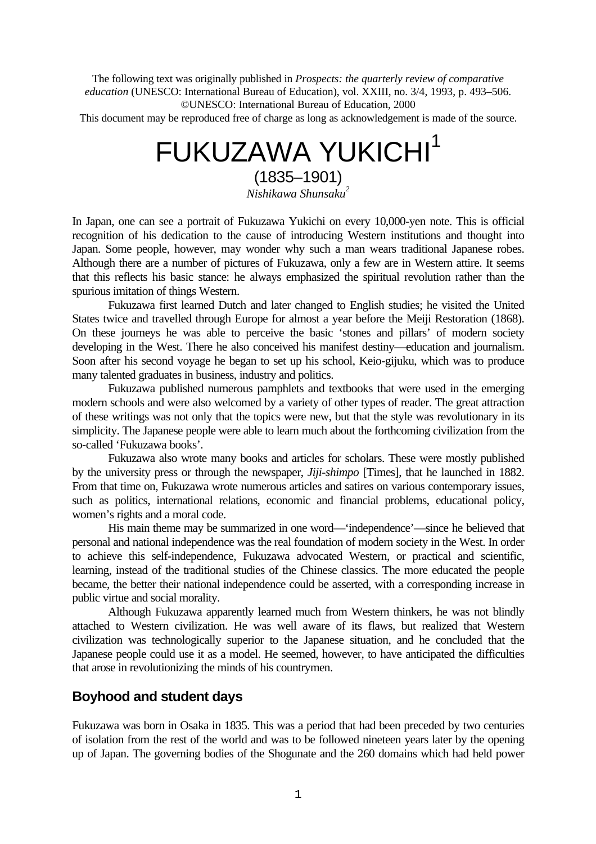The following text was originally published in *Prospects: the quarterly review of comparative education* (UNESCO: International Bureau of Education), vol. XXIII, no. 3/4, 1993, p. 493–506. ©UNESCO: International Bureau of Education, 2000

This document may be reproduced free of charge as long as acknowledgement is made of the source.

# FUKUZAWA YUKICHI<sup>1</sup>

## (1835–1901)

*Nishikawa Shunsaku<sup>2</sup>*

In Japan, one can see a portrait of Fukuzawa Yukichi on every 10,000-yen note. This is official recognition of his dedication to the cause of introducing Western institutions and thought into Japan. Some people, however, may wonder why such a man wears traditional Japanese robes. Although there are a number of pictures of Fukuzawa, only a few are in Western attire. It seems that this reflects his basic stance: he always emphasized the spiritual revolution rather than the spurious imitation of things Western.

Fukuzawa first learned Dutch and later changed to English studies; he visited the United States twice and travelled through Europe for almost a year before the Meiji Restoration (1868). On these journeys he was able to perceive the basic 'stones and pillars' of modern society developing in the West. There he also conceived his manifest destiny—education and journalism. Soon after his second voyage he began to set up his school, Keio-gijuku, which was to produce many talented graduates in business, industry and politics.

Fukuzawa published numerous pamphlets and textbooks that were used in the emerging modern schools and were also welcomed by a variety of other types of reader. The great attraction of these writings was not only that the topics were new, but that the style was revolutionary in its simplicity. The Japanese people were able to learn much about the forthcoming civilization from the so-called 'Fukuzawa books'.

Fukuzawa also wrote many books and articles for scholars. These were mostly published by the university press or through the newspaper, *Jiji-shimpo* [Times], that he launched in 1882. From that time on, Fukuzawa wrote numerous articles and satires on various contemporary issues, such as politics, international relations, economic and financial problems, educational policy, women's rights and a moral code.

His main theme may be summarized in one word—'independence'—since he believed that personal and national independence was the real foundation of modern society in the West. In order to achieve this self-independence, Fukuzawa advocated Western, or practical and scientific, learning, instead of the traditional studies of the Chinese classics. The more educated the people became, the better their national independence could be asserted, with a corresponding increase in public virtue and social morality.

Although Fukuzawa apparently learned much from Western thinkers, he was not blindly attached to Western civilization. He was well aware of its flaws, but realized that Western civilization was technologically superior to the Japanese situation, and he concluded that the Japanese people could use it as a model. He seemed, however, to have anticipated the difficulties that arose in revolutionizing the minds of his countrymen.

## **Boyhood and student days**

Fukuzawa was born in Osaka in 1835. This was a period that had been preceded by two centuries of isolation from the rest of the world and was to be followed nineteen years later by the opening up of Japan. The governing bodies of the Shogunate and the 260 domains which had held power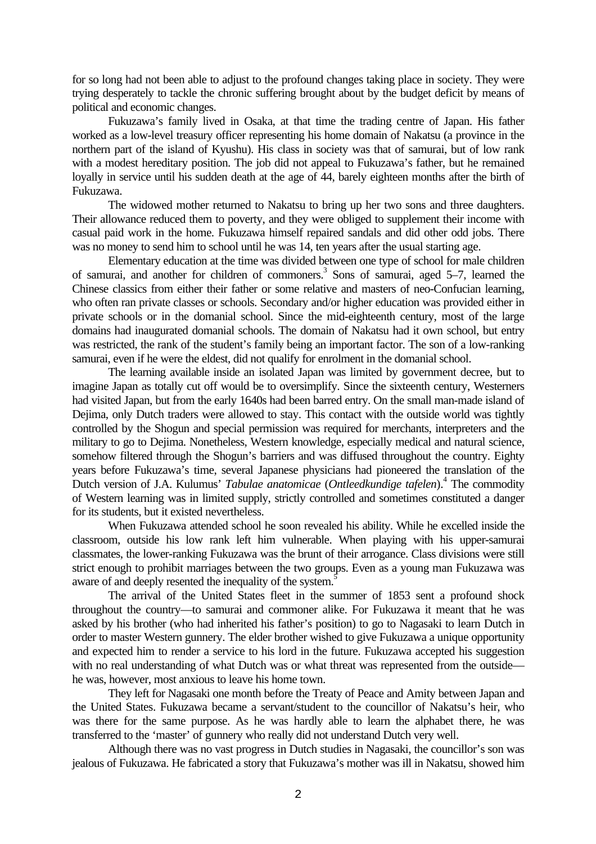for so long had not been able to adjust to the profound changes taking place in society. They were trying desperately to tackle the chronic suffering brought about by the budget deficit by means of political and economic changes.

Fukuzawa's family lived in Osaka, at that time the trading centre of Japan. His father worked as a low-level treasury officer representing his home domain of Nakatsu (a province in the northern part of the island of Kyushu). His class in society was that of samurai, but of low rank with a modest hereditary position. The job did not appeal to Fukuzawa's father, but he remained loyally in service until his sudden death at the age of 44, barely eighteen months after the birth of Fukuzawa.

The widowed mother returned to Nakatsu to bring up her two sons and three daughters. Their allowance reduced them to poverty, and they were obliged to supplement their income with casual paid work in the home. Fukuzawa himself repaired sandals and did other odd jobs. There was no money to send him to school until he was 14, ten years after the usual starting age.

Elementary education at the time was divided between one type of school for male children of samurai, and another for children of commoners.<sup>3</sup> Sons of samurai, aged 5–7, learned the Chinese classics from either their father or some relative and masters of neo-Confucian learning, who often ran private classes or schools. Secondary and/or higher education was provided either in private schools or in the domanial school. Since the mid-eighteenth century, most of the large domains had inaugurated domanial schools. The domain of Nakatsu had it own school, but entry was restricted, the rank of the student's family being an important factor. The son of a low-ranking samurai, even if he were the eldest, did not qualify for enrolment in the domanial school.

The learning available inside an isolated Japan was limited by government decree, but to imagine Japan as totally cut off would be to oversimplify. Since the sixteenth century, Westerners had visited Japan, but from the early 1640s had been barred entry. On the small man-made island of Dejima, only Dutch traders were allowed to stay. This contact with the outside world was tightly controlled by the Shogun and special permission was required for merchants, interpreters and the military to go to Dejima. Nonetheless, Western knowledge, especially medical and natural science, somehow filtered through the Shogun's barriers and was diffused throughout the country. Eighty years before Fukuzawa's time, several Japanese physicians had pioneered the translation of the Dutch version of J.A. Kulumus' *Tabulae anatomicae* (*Ontleedkundige tafelen*). 4 The commodity of Western learning was in limited supply, strictly controlled and sometimes constituted a danger for its students, but it existed nevertheless.

When Fukuzawa attended school he soon revealed his ability. While he excelled inside the classroom, outside his low rank left him vulnerable. When playing with his upper-samurai classmates, the lower-ranking Fukuzawa was the brunt of their arrogance. Class divisions were still strict enough to prohibit marriages between the two groups. Even as a young man Fukuzawa was aware of and deeply resented the inequality of the system.<sup>5</sup>

The arrival of the United States fleet in the summer of 1853 sent a profound shock throughout the country—to samurai and commoner alike. For Fukuzawa it meant that he was asked by his brother (who had inherited his father's position) to go to Nagasaki to learn Dutch in order to master Western gunnery. The elder brother wished to give Fukuzawa a unique opportunity and expected him to render a service to his lord in the future. Fukuzawa accepted his suggestion with no real understanding of what Dutch was or what threat was represented from the outside he was, however, most anxious to leave his home town.

They left for Nagasaki one month before the Treaty of Peace and Amity between Japan and the United States. Fukuzawa became a servant/student to the councillor of Nakatsu's heir, who was there for the same purpose. As he was hardly able to learn the alphabet there, he was transferred to the 'master' of gunnery who really did not understand Dutch very well.

Although there was no vast progress in Dutch studies in Nagasaki, the councillor's son was jealous of Fukuzawa. He fabricated a story that Fukuzawa's mother was ill in Nakatsu, showed him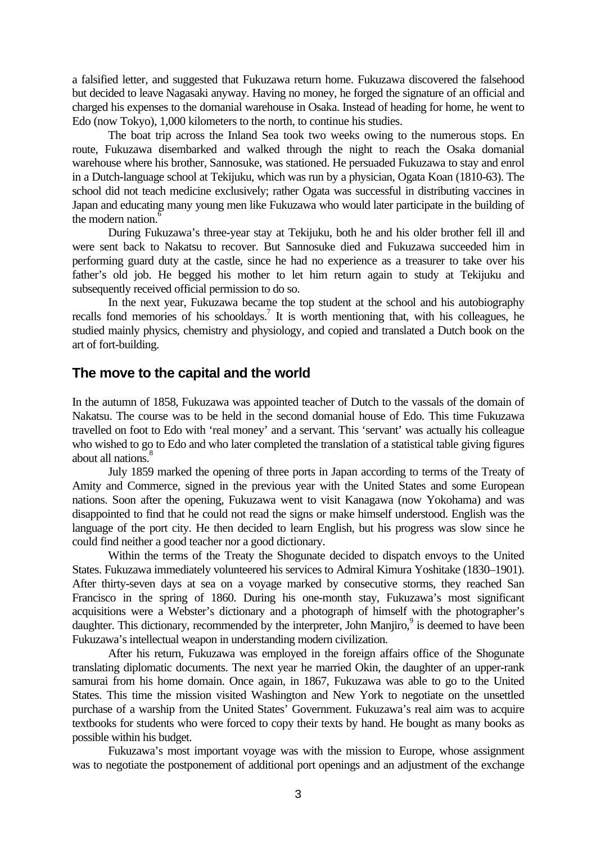a falsified letter, and suggested that Fukuzawa return home. Fukuzawa discovered the falsehood but decided to leave Nagasaki anyway. Having no money, he forged the signature of an official and charged his expenses to the domanial warehouse in Osaka. Instead of heading for home, he went to Edo (now Tokyo), 1,000 kilometers to the north, to continue his studies.

The boat trip across the Inland Sea took two weeks owing to the numerous stops. En route, Fukuzawa disembarked and walked through the night to reach the Osaka domanial warehouse where his brother, Sannosuke, was stationed. He persuaded Fukuzawa to stay and enrol in a Dutch-language school at Tekijuku, which was run by a physician, Ogata Koan (1810-63). The school did not teach medicine exclusively; rather Ogata was successful in distributing vaccines in Japan and educating many young men like Fukuzawa who would later participate in the building of the modern nation. $6$ 

During Fukuzawa's three-year stay at Tekijuku, both he and his older brother fell ill and were sent back to Nakatsu to recover. But Sannosuke died and Fukuzawa succeeded him in performing guard duty at the castle, since he had no experience as a treasurer to take over his father's old job. He begged his mother to let him return again to study at Tekijuku and subsequently received official permission to do so.

In the next year, Fukuzawa became the top student at the school and his autobiography recalls fond memories of his schooldays.<sup>7</sup> It is worth mentioning that, with his colleagues, he studied mainly physics, chemistry and physiology, and copied and translated a Dutch book on the art of fort-building.

## **The move to the capital and the world**

In the autumn of 1858, Fukuzawa was appointed teacher of Dutch to the vassals of the domain of Nakatsu. The course was to be held in the second domanial house of Edo. This time Fukuzawa travelled on foot to Edo with 'real money' and a servant. This 'servant' was actually his colleague who wished to go to Edo and who later completed the translation of a statistical table giving figures about all nations.<sup>8</sup>

July 1859 marked the opening of three ports in Japan according to terms of the Treaty of Amity and Commerce, signed in the previous year with the United States and some European nations. Soon after the opening, Fukuzawa went to visit Kanagawa (now Yokohama) and was disappointed to find that he could not read the signs or make himself understood. English was the language of the port city. He then decided to learn English, but his progress was slow since he could find neither a good teacher nor a good dictionary.

Within the terms of the Treaty the Shogunate decided to dispatch envoys to the United States. Fukuzawa immediately volunteered his services to Admiral Kimura Yoshitake (1830–1901). After thirty-seven days at sea on a voyage marked by consecutive storms, they reached San Francisco in the spring of 1860. During his one-month stay, Fukuzawa's most significant acquisitions were a Webster's dictionary and a photograph of himself with the photographer's daughter. This dictionary, recommended by the interpreter, John Manjiro,<sup>9</sup> is deemed to have been Fukuzawa's intellectual weapon in understanding modern civilization.

After his return, Fukuzawa was employed in the foreign affairs office of the Shogunate translating diplomatic documents. The next year he married Okin, the daughter of an upper-rank samurai from his home domain. Once again, in 1867, Fukuzawa was able to go to the United States. This time the mission visited Washington and New York to negotiate on the unsettled purchase of a warship from the United States' Government. Fukuzawa's real aim was to acquire textbooks for students who were forced to copy their texts by hand. He bought as many books as possible within his budget.

Fukuzawa's most important voyage was with the mission to Europe, whose assignment was to negotiate the postponement of additional port openings and an adjustment of the exchange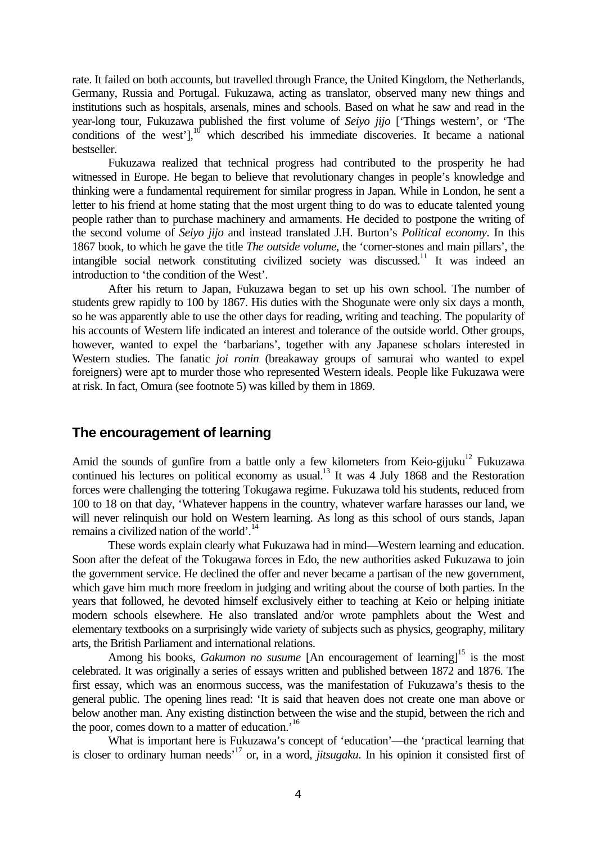rate. It failed on both accounts, but travelled through France, the United Kingdom, the Netherlands, Germany, Russia and Portugal. Fukuzawa, acting as translator, observed many new things and institutions such as hospitals, arsenals, mines and schools. Based on what he saw and read in the year-long tour, Fukuzawa published the first volume of *Seiyo jijo* ['Things western', or 'The conditions of the west'], $^{10}$  which described his immediate discoveries. It became a national bestseller.

Fukuzawa realized that technical progress had contributed to the prosperity he had witnessed in Europe. He began to believe that revolutionary changes in people's knowledge and thinking were a fundamental requirement for similar progress in Japan. While in London, he sent a letter to his friend at home stating that the most urgent thing to do was to educate talented young people rather than to purchase machinery and armaments. He decided to postpone the writing of the second volume of *Seiyo jijo* and instead translated J.H. Burton's *Political economy*. In this 1867 book, to which he gave the title *The outside volume*, the 'corner-stones and main pillars', the intangible social network constituting civilized society was discussed.<sup>11</sup> It was indeed an introduction to 'the condition of the West'.

After his return to Japan, Fukuzawa began to set up his own school. The number of students grew rapidly to 100 by 1867. His duties with the Shogunate were only six days a month, so he was apparently able to use the other days for reading, writing and teaching. The popularity of his accounts of Western life indicated an interest and tolerance of the outside world. Other groups, however, wanted to expel the 'barbarians', together with any Japanese scholars interested in Western studies. The fanatic *joi ronin* (breakaway groups of samurai who wanted to expel foreigners) were apt to murder those who represented Western ideals. People like Fukuzawa were at risk. In fact, Omura (see footnote 5) was killed by them in 1869.

#### **The encouragement of learning**

Amid the sounds of gunfire from a battle only a few kilometers from Keio-gijuku<sup>12</sup> Fukuzawa continued his lectures on political economy as usual.<sup>13</sup> It was 4 July 1868 and the Restoration forces were challenging the tottering Tokugawa regime. Fukuzawa told his students, reduced from 100 to 18 on that day, 'Whatever happens in the country, whatever warfare harasses our land, we will never relinquish our hold on Western learning. As long as this school of ours stands, Japan remains a civilized nation of the world'.<sup>14</sup>

These words explain clearly what Fukuzawa had in mind—Western learning and education. Soon after the defeat of the Tokugawa forces in Edo, the new authorities asked Fukuzawa to join the government service. He declined the offer and never became a partisan of the new government, which gave him much more freedom in judging and writing about the course of both parties. In the years that followed, he devoted himself exclusively either to teaching at Keio or helping initiate modern schools elsewhere. He also translated and/or wrote pamphlets about the West and elementary textbooks on a surprisingly wide variety of subjects such as physics, geography, military arts, the British Parliament and international relations.

Among his books, *Gakumon no susume* [An encouragement of learning]<sup>15</sup> is the most celebrated. It was originally a series of essays written and published between 1872 and 1876. The first essay, which was an enormous success, was the manifestation of Fukuzawa's thesis to the general public. The opening lines read: 'It is said that heaven does not create one man above or below another man. Any existing distinction between the wise and the stupid, between the rich and the poor, comes down to a matter of education.<sup>16</sup>

What is important here is Fukuzawa's concept of 'education'—the 'practical learning that is closer to ordinary human needs'<sup>17</sup> or, in a word, *jitsugaku*. In his opinion it consisted first of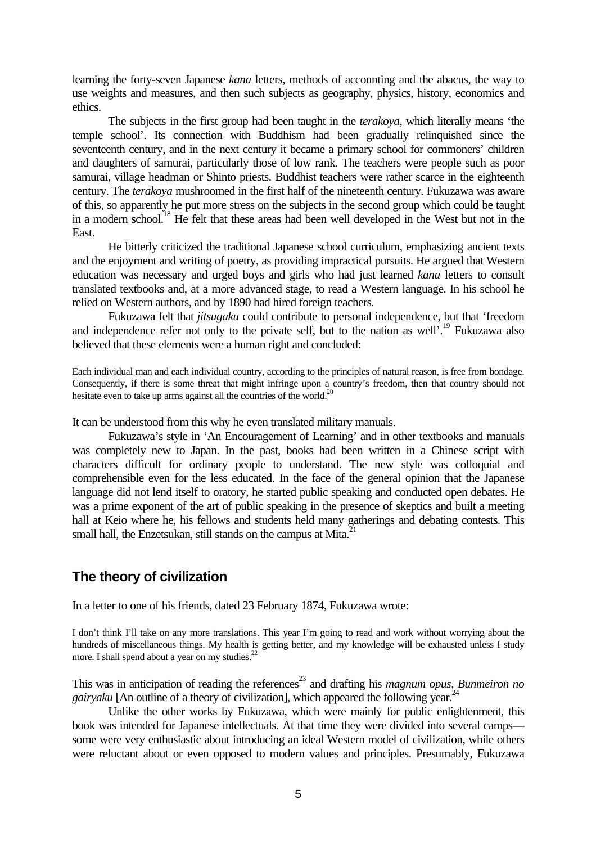learning the forty-seven Japanese *kana* letters, methods of accounting and the abacus, the way to use weights and measures, and then such subjects as geography, physics, history, economics and ethics.

The subjects in the first group had been taught in the *terakoya*, which literally means 'the temple school'. Its connection with Buddhism had been gradually relinquished since the seventeenth century, and in the next century it became a primary school for commoners' children and daughters of samurai, particularly those of low rank. The teachers were people such as poor samurai, village headman or Shinto priests. Buddhist teachers were rather scarce in the eighteenth century. The *terakoya* mushroomed in the first half of the nineteenth century. Fukuzawa was aware of this, so apparently he put more stress on the subjects in the second group which could be taught in a modern school.<sup>18</sup> He felt that these areas had been well developed in the West but not in the East.

He bitterly criticized the traditional Japanese school curriculum, emphasizing ancient texts and the enjoyment and writing of poetry, as providing impractical pursuits. He argued that Western education was necessary and urged boys and girls who had just learned *kana* letters to consult translated textbooks and, at a more advanced stage, to read a Western language. In his school he relied on Western authors, and by 1890 had hired foreign teachers.

Fukuzawa felt that *jitsugaku* could contribute to personal independence, but that 'freedom and independence refer not only to the private self, but to the nation as well'.<sup>19</sup> Fukuzawa also believed that these elements were a human right and concluded:

Each individual man and each individual country, according to the principles of natural reason, is free from bondage. Consequently, if there is some threat that might infringe upon a country's freedom, then that country should not hesitate even to take up arms against all the countries of the world.<sup>20</sup>

It can be understood from this why he even translated military manuals.

Fukuzawa's style in 'An Encouragement of Learning' and in other textbooks and manuals was completely new to Japan. In the past, books had been written in a Chinese script with characters difficult for ordinary people to understand. The new style was colloquial and comprehensible even for the less educated. In the face of the general opinion that the Japanese language did not lend itself to oratory, he started public speaking and conducted open debates. He was a prime exponent of the art of public speaking in the presence of skeptics and built a meeting hall at Keio where he, his fellows and students held many gatherings and debating contests. This small hall, the Enzetsukan, still stands on the campus at Mita.<sup>21</sup>

#### **The theory of civilization**

In a letter to one of his friends, dated 23 February 1874, Fukuzawa wrote:

I don't think I'll take on any more translations. This year I'm going to read and work without worrying about the hundreds of miscellaneous things. My health is getting better, and my knowledge will be exhausted unless I study more. I shall spend about a year on my studies.<sup>22</sup>

This was in anticipation of reading the references<sup>23</sup> and drafting his *magnum opus, Bunmeiron no gairyaku* [An outline of a theory of civilization], which appeared the following year.<sup>24</sup>

Unlike the other works by Fukuzawa, which were mainly for public enlightenment, this book was intended for Japanese intellectuals. At that time they were divided into several camps some were very enthusiastic about introducing an ideal Western model of civilization, while others were reluctant about or even opposed to modern values and principles. Presumably, Fukuzawa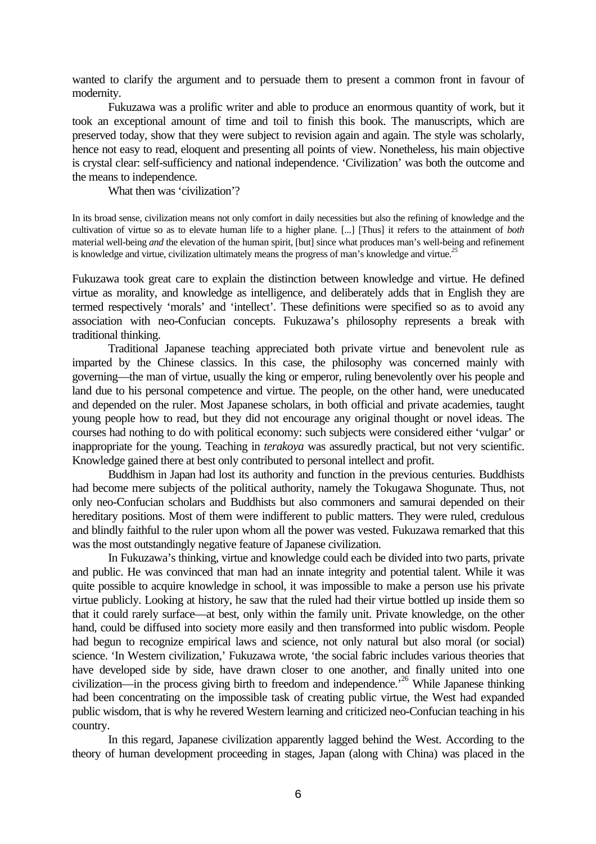wanted to clarify the argument and to persuade them to present a common front in favour of modernity.

Fukuzawa was a prolific writer and able to produce an enormous quantity of work, but it took an exceptional amount of time and toil to finish this book. The manuscripts, which are preserved today, show that they were subject to revision again and again. The style was scholarly, hence not easy to read, eloquent and presenting all points of view. Nonetheless, his main objective is crystal clear: self-sufficiency and national independence. 'Civilization' was both the outcome and the means to independence.

What then was 'civilization'?

In its broad sense, civilization means not only comfort in daily necessities but also the refining of knowledge and the cultivation of virtue so as to elevate human life to a higher plane. [...] [Thus] it refers to the attainment of *both* material well-being *and* the elevation of the human spirit, [but] since what produces man's well-being and refinement is knowledge and virtue, civilization ultimately means the progress of man's knowledge and virtue.*<sup>25</sup>*

Fukuzawa took great care to explain the distinction between knowledge and virtue. He defined virtue as morality, and knowledge as intelligence, and deliberately adds that in English they are termed respectively 'morals' and 'intellect'. These definitions were specified so as to avoid any association with neo-Confucian concepts. Fukuzawa's philosophy represents a break with traditional thinking.

Traditional Japanese teaching appreciated both private virtue and benevolent rule as imparted by the Chinese classics. In this case, the philosophy was concerned mainly with governing—the man of virtue, usually the king or emperor, ruling benevolently over his people and land due to his personal competence and virtue. The people, on the other hand, were uneducated and depended on the ruler. Most Japanese scholars, in both official and private academies, taught young people how to read, but they did not encourage any original thought or novel ideas. The courses had nothing to do with political economy: such subjects were considered either 'vulgar' or inappropriate for the young. Teaching in *terakoya* was assuredly practical, but not very scientific. Knowledge gained there at best only contributed to personal intellect and profit.

Buddhism in Japan had lost its authority and function in the previous centuries. Buddhists had become mere subjects of the political authority, namely the Tokugawa Shogunate. Thus, not only neo-Confucian scholars and Buddhists but also commoners and samurai depended on their hereditary positions. Most of them were indifferent to public matters. They were ruled, credulous and blindly faithful to the ruler upon whom all the power was vested. Fukuzawa remarked that this was the most outstandingly negative feature of Japanese civilization.

In Fukuzawa's thinking, virtue and knowledge could each be divided into two parts, private and public. He was convinced that man had an innate integrity and potential talent. While it was quite possible to acquire knowledge in school, it was impossible to make a person use his private virtue publicly. Looking at history, he saw that the ruled had their virtue bottled up inside them so that it could rarely surface—at best, only within the family unit. Private knowledge, on the other hand, could be diffused into society more easily and then transformed into public wisdom. People had begun to recognize empirical laws and science, not only natural but also moral (or social) science. 'In Western civilization,' Fukuzawa wrote, 'the social fabric includes various theories that have developed side by side, have drawn closer to one another, and finally united into one civilization—in the process giving birth to freedom and independence.'<sup>26</sup> While Japanese thinking had been concentrating on the impossible task of creating public virtue, the West had expanded public wisdom, that is why he revered Western learning and criticized neo-Confucian teaching in his country.

In this regard, Japanese civilization apparently lagged behind the West. According to the theory of human development proceeding in stages, Japan (along with China) was placed in the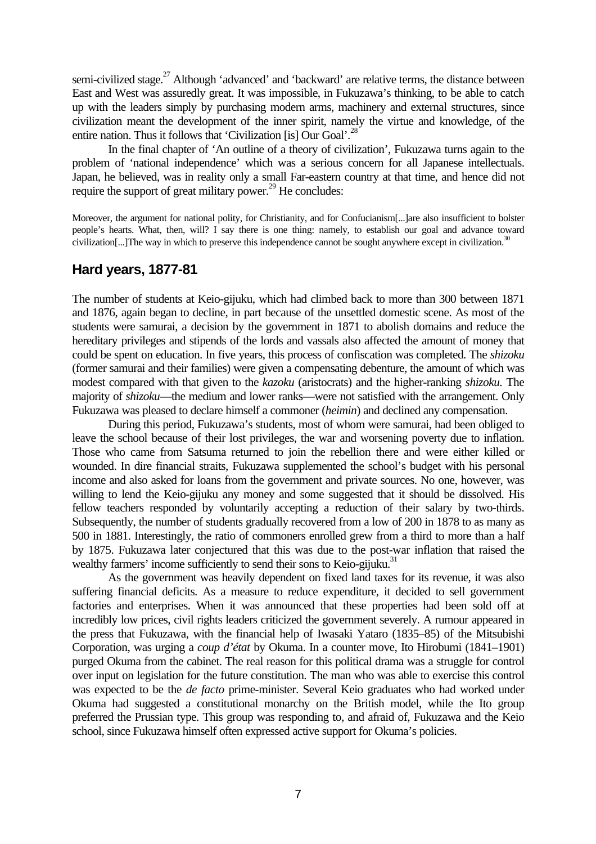semi-civilized stage.<sup>27</sup> Although 'advanced' and 'backward' are relative terms, the distance between East and West was assuredly great. It was impossible, in Fukuzawa's thinking, to be able to catch up with the leaders simply by purchasing modern arms, machinery and external structures, since civilization meant the development of the inner spirit, namely the virtue and knowledge, of the entire nation. Thus it follows that 'Civilization [is] Our Goal'.<sup>28</sup>

In the final chapter of 'An outline of a theory of civilization', Fukuzawa turns again to the problem of 'national independence' which was a serious concern for all Japanese intellectuals. Japan, he believed, was in reality only a small Far-eastern country at that time, and hence did not require the support of great military power. $^{29}$  He concludes:

Moreover, the argument for national polity, for Christianity, and for Confucianism[...]are also insufficient to bolster people's hearts. What, then, will? I say there is one thing: namely, to establish our goal and advance toward civilization[...]The way in which to preserve this independence cannot be sought anywhere except in civilization.<sup>3</sup>

#### **Hard years, 1877-81**

The number of students at Keio-gijuku, which had climbed back to more than 300 between 1871 and 1876, again began to decline, in part because of the unsettled domestic scene. As most of the students were samurai, a decision by the government in 1871 to abolish domains and reduce the hereditary privileges and stipends of the lords and vassals also affected the amount of money that could be spent on education. In five years, this process of confiscation was completed. The *shizoku* (former samurai and their families) were given a compensating debenture, the amount of which was modest compared with that given to the *kazoku* (aristocrats) and the higher-ranking *shizoku*. The majority of *shizoku*—the medium and lower ranks—were not satisfied with the arrangement. Only Fukuzawa was pleased to declare himself a commoner (*heimin*) and declined any compensation.

During this period, Fukuzawa's students, most of whom were samurai, had been obliged to leave the school because of their lost privileges, the war and worsening poverty due to inflation. Those who came from Satsuma returned to join the rebellion there and were either killed or wounded. In dire financial straits, Fukuzawa supplemented the school's budget with his personal income and also asked for loans from the government and private sources. No one, however, was willing to lend the Keio-gijuku any money and some suggested that it should be dissolved. His fellow teachers responded by voluntarily accepting a reduction of their salary by two-thirds. Subsequently, the number of students gradually recovered from a low of 200 in 1878 to as many as 500 in 1881. Interestingly, the ratio of commoners enrolled grew from a third to more than a half by 1875. Fukuzawa later conjectured that this was due to the post-war inflation that raised the wealthy farmers' income sufficiently to send their sons to Keio-gijuku.<sup>31</sup>

As the government was heavily dependent on fixed land taxes for its revenue, it was also suffering financial deficits. As a measure to reduce expenditure, it decided to sell government factories and enterprises. When it was announced that these properties had been sold off at incredibly low prices, civil rights leaders criticized the government severely. A rumour appeared in the press that Fukuzawa, with the financial help of Iwasaki Yataro (1835–85) of the Mitsubishi Corporation, was urging a *coup d'état* by Okuma. In a counter move, Ito Hirobumi (1841–1901) purged Okuma from the cabinet. The real reason for this political drama was a struggle for control over input on legislation for the future constitution. The man who was able to exercise this control was expected to be the *de facto* prime-minister. Several Keio graduates who had worked under Okuma had suggested a constitutional monarchy on the British model, while the Ito group preferred the Prussian type. This group was responding to, and afraid of, Fukuzawa and the Keio school, since Fukuzawa himself often expressed active support for Okuma's policies.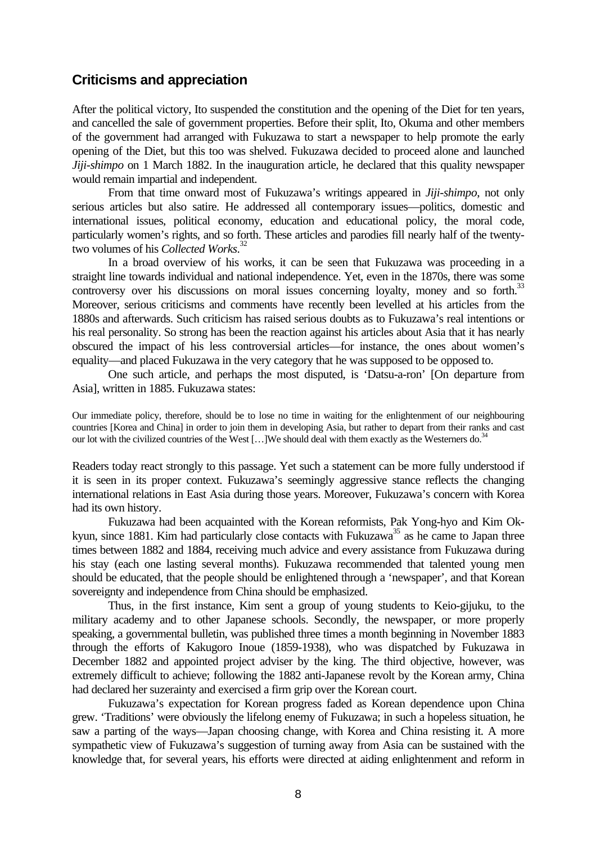### **Criticisms and appreciation**

After the political victory, Ito suspended the constitution and the opening of the Diet for ten years, and cancelled the sale of government properties. Before their split, Ito, Okuma and other members of the government had arranged with Fukuzawa to start a newspaper to help promote the early opening of the Diet, but this too was shelved. Fukuzawa decided to proceed alone and launched *Jiji-shimpo* on 1 March 1882. In the inauguration article, he declared that this quality newspaper would remain impartial and independent.

From that time onward most of Fukuzawa's writings appeared in *Jiji-shimpo*, not only serious articles but also satire. He addressed all contemporary issues—politics, domestic and international issues, political economy, education and educational policy, the moral code, particularly women's rights, and so forth. These articles and parodies fill nearly half of the twentytwo volumes of his *Collected Works*. 32

In a broad overview of his works, it can be seen that Fukuzawa was proceeding in a straight line towards individual and national independence. Yet, even in the 1870s, there was some controversy over his discussions on moral issues concerning loyalty, money and so forth.<sup>33</sup> Moreover, serious criticisms and comments have recently been levelled at his articles from the 1880s and afterwards. Such criticism has raised serious doubts as to Fukuzawa's real intentions or his real personality. So strong has been the reaction against his articles about Asia that it has nearly obscured the impact of his less controversial articles—for instance, the ones about women's equality—and placed Fukuzawa in the very category that he was supposed to be opposed to.

One such article, and perhaps the most disputed, is 'Datsu-a-ron' [On departure from Asia], written in 1885. Fukuzawa states:

Our immediate policy, therefore, should be to lose no time in waiting for the enlightenment of our neighbouring countries [Korea and China] in order to join them in developing Asia, but rather to depart from their ranks and cast our lot with the civilized countries of the West [...] We should deal with them exactly as the Westerners do.<sup>3</sup>

Readers today react strongly to this passage. Yet such a statement can be more fully understood if it is seen in its proper context. Fukuzawa's seemingly aggressive stance reflects the changing international relations in East Asia during those years. Moreover, Fukuzawa's concern with Korea had its own history.

Fukuzawa had been acquainted with the Korean reformists, Pak Yong-hyo and Kim Okkyun, since 1881. Kim had particularly close contacts with Fukuzawa<sup>35</sup> as he came to Japan three times between 1882 and 1884, receiving much advice and every assistance from Fukuzawa during his stay (each one lasting several months). Fukuzawa recommended that talented young men should be educated, that the people should be enlightened through a 'newspaper', and that Korean sovereignty and independence from China should be emphasized.

Thus, in the first instance, Kim sent a group of young students to Keio-gijuku, to the military academy and to other Japanese schools. Secondly, the newspaper, or more properly speaking, a governmental bulletin, was published three times a month beginning in November 1883 through the efforts of Kakugoro Inoue (1859-1938), who was dispatched by Fukuzawa in December 1882 and appointed project adviser by the king. The third objective, however, was extremely difficult to achieve; following the 1882 anti-Japanese revolt by the Korean army, China had declared her suzerainty and exercised a firm grip over the Korean court.

Fukuzawa's expectation for Korean progress faded as Korean dependence upon China grew. 'Traditions' were obviously the lifelong enemy of Fukuzawa; in such a hopeless situation, he saw a parting of the ways—Japan choosing change, with Korea and China resisting it. A more sympathetic view of Fukuzawa's suggestion of turning away from Asia can be sustained with the knowledge that, for several years, his efforts were directed at aiding enlightenment and reform in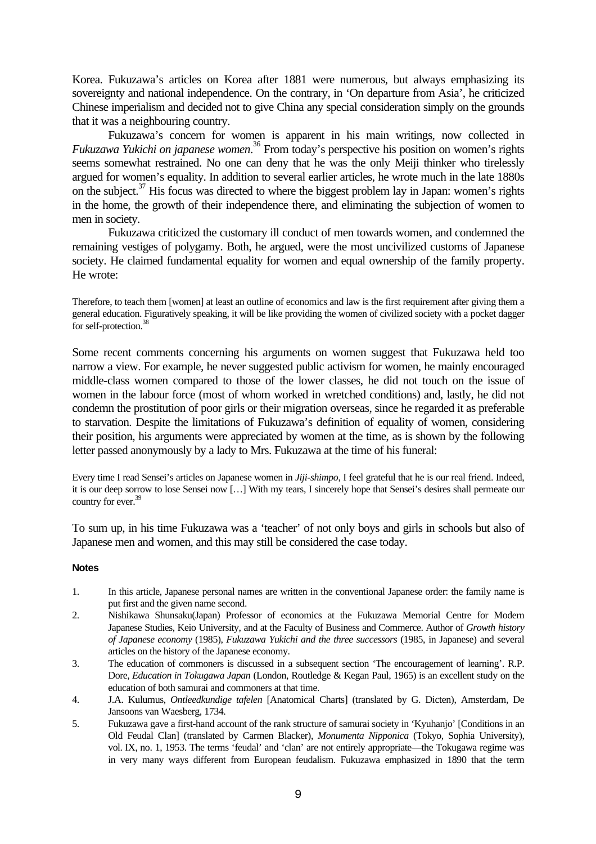Korea. Fukuzawa's articles on Korea after 1881 were numerous, but always emphasizing its sovereignty and national independence. On the contrary, in 'On departure from Asia', he criticized Chinese imperialism and decided not to give China any special consideration simply on the grounds that it was a neighbouring country.

Fukuzawa's concern for women is apparent in his main writings, now collected in *Fukuzawa Yukichi on japanese women*. <sup>36</sup> From today's perspective his position on women's rights seems somewhat restrained. No one can deny that he was the only Meiji thinker who tirelessly argued for women's equality. In addition to several earlier articles, he wrote much in the late 1880s on the subject.<sup>37</sup> His focus was directed to where the biggest problem lay in Japan: women's rights in the home, the growth of their independence there, and eliminating the subjection of women to men in society.

Fukuzawa criticized the customary ill conduct of men towards women, and condemned the remaining vestiges of polygamy. Both, he argued, were the most uncivilized customs of Japanese society. He claimed fundamental equality for women and equal ownership of the family property. He wrote:

Therefore, to teach them [women] at least an outline of economics and law is the first requirement after giving them a general education. Figuratively speaking, it will be like providing the women of civilized society with a pocket dagger for self-protection.<sup>38</sup>

Some recent comments concerning his arguments on women suggest that Fukuzawa held too narrow a view. For example, he never suggested public activism for women, he mainly encouraged middle-class women compared to those of the lower classes, he did not touch on the issue of women in the labour force (most of whom worked in wretched conditions) and, lastly, he did not condemn the prostitution of poor girls or their migration overseas, since he regarded it as preferable to starvation. Despite the limitations of Fukuzawa's definition of equality of women, considering their position, his arguments were appreciated by women at the time, as is shown by the following letter passed anonymously by a lady to Mrs. Fukuzawa at the time of his funeral:

Every time I read Sensei's articles on Japanese women in *Jiji-shimpo*, I feel grateful that he is our real friend. Indeed, it is our deep sorrow to lose Sensei now […] With my tears, I sincerely hope that Sensei's desires shall permeate our country for ever.<sup>39</sup>

To sum up, in his time Fukuzawa was a 'teacher' of not only boys and girls in schools but also of Japanese men and women, and this may still be considered the case today.

#### **Notes**

- 1. In this article, Japanese personal names are written in the conventional Japanese order: the family name is put first and the given name second.
- 2. Nishikawa Shunsaku(Japan) Professor of economics at the Fukuzawa Memorial Centre for Modern Japanese Studies, Keio University, and at the Faculty of Business and Commerce. Author of *Growth history of Japanese economy* (1985), *Fukuzawa Yukichi and the three successors* (1985, in Japanese) and several articles on the history of the Japanese economy.
- 3. The education of commoners is discussed in a subsequent section 'The encouragement of learning'. R.P. Dore, *Education in Tokugawa Japan* (London, Routledge & Kegan Paul, 1965) is an excellent study on the education of both samurai and commoners at that time.
- 4. J.A. Kulumus, *Ontleedkundige tafelen* [Anatomical Charts] (translated by G. Dicten), Amsterdam, De Jansoons van Waesberg, 1734.
- 5. Fukuzawa gave a first-hand account of the rank structure of samurai society in 'Kyuhanjo' [Conditions in an Old Feudal Clan] (translated by Carmen Blacker), *Monumenta Nipponica* (Tokyo, Sophia University), vol. IX, no. 1, 1953. The terms 'feudal' and 'clan' are not entirely appropriate—the Tokugawa regime was in very many ways different from European feudalism. Fukuzawa emphasized in 1890 that the term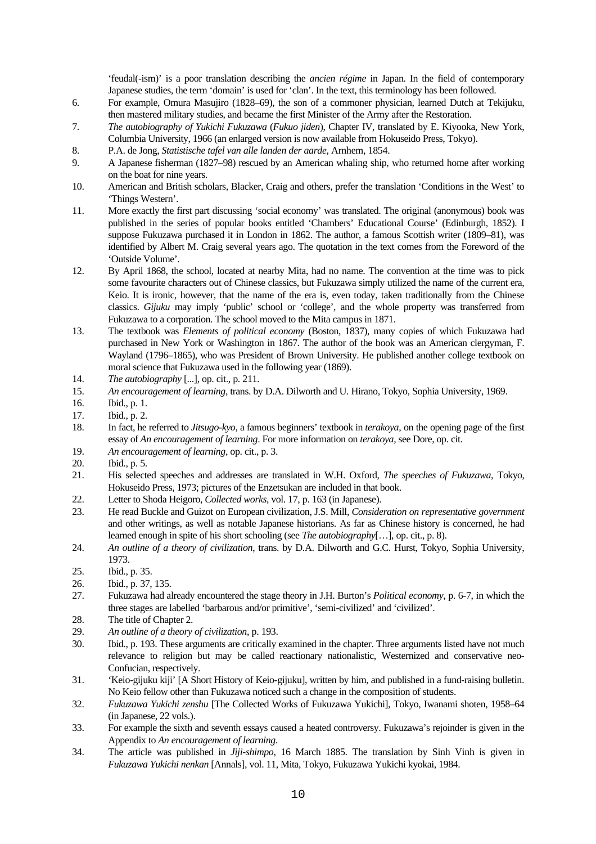'feudal(-ism)' is a poor translation describing the *ancien régime* in Japan. In the field of contemporary Japanese studies, the term 'domain' is used for 'clan'. In the text, this terminology has been followed.

- 6. For example, Omura Masujiro (1828–69), the son of a commoner physician, learned Dutch at Tekijuku, then mastered military studies, and became the first Minister of the Army after the Restoration.
- 7. *The autobiography of Yukichi Fukuzawa* (*Fukuo jiden*), Chapter IV, translated by E. Kiyooka, New York, Columbia University, 1966 (an enlarged version is now available from Hokuseido Press, Tokyo).
- 8. P.A. de Jong, *Statistische tafel van alle landen der aarde*, Arnhem, 1854.
- 9. A Japanese fisherman (1827–98) rescued by an American whaling ship, who returned home after working on the boat for nine years.
- 10. American and British scholars, Blacker, Craig and others, prefer the translation 'Conditions in the West' to 'Things Western'.
- 11. More exactly the first part discussing 'social economy' was translated. The original (anonymous) book was published in the series of popular books entitled 'Chambers' Educational Course' (Edinburgh, 1852). I suppose Fukuzawa purchased it in London in 1862. The author, a famous Scottish writer (1809–81), was identified by Albert M. Craig several years ago. The quotation in the text comes from the Foreword of the 'Outside Volume'.
- 12. By April 1868, the school, located at nearby Mita, had no name. The convention at the time was to pick some favourite characters out of Chinese classics, but Fukuzawa simply utilized the name of the current era, Keio. It is ironic, however, that the name of the era is, even today, taken traditionally from the Chinese classics. *Gijuku* may imply 'public' school or 'college', and the whole property was transferred from Fukuzawa to a corporation. The school moved to the Mita campus in 1871.
- 13. The textbook was *Elements of political economy* (Boston, 1837), many copies of which Fukuzawa had purchased in New York or Washington in 1867. The author of the book was an American clergyman, F. Wayland (1796–1865), who was President of Brown University. He published another college textbook on moral science that Fukuzawa used in the following year (1869).
- 14. *The autobiography* [...], op. cit., p. 211.
- 15. *An encouragement of learning*, trans. by D.A. Dilworth and U. Hirano, Tokyo, Sophia University, 1969.
- 16. Ibid., p. 1.
- 17. Ibid., p. 2.
- 18. In fact, he referred to *Jitsugo-kyo*, a famous beginners' textbook in *terakoya*, on the opening page of the first essay of *An encouragement of learning*. For more information on *terakoya*, see Dore, op. cit.
- 19. *An encouragement of learning*, op. cit., p. 3.
- 20. Ibid., p. 5.
- 21. His selected speeches and addresses are translated in W.H. Oxford, *The speeches of Fukuzawa*, Tokyo, Hokuseido Press, 1973; pictures of the Enzetsukan are included in that book.
- 22. Letter to Shoda Heigoro, *Collected works*, vol. 17, p. 163 (in Japanese).
- 23. He read Buckle and Guizot on European civilization, J.S. Mill, *Consideration on representative government* and other writings, as well as notable Japanese historians. As far as Chinese history is concerned, he had learned enough in spite of his short schooling (see *The autobiography*[…], op. cit., p. 8).
- 24. *An outline of a theory of civilization*, trans. by D.A. Dilworth and G.C. Hurst, Tokyo, Sophia University, 1973.
- 25. Ibid., p. 35.
- 26. Ibid., p. 37, 135.
- 27. Fukuzawa had already encountered the stage theory in J.H. Burton's *Political economy*, p. 6-7, in which the three stages are labelled 'barbarous and/or primitive', 'semi-civilized' and 'civilized'.
- 28. The title of Chapter 2.
- 29. *An outline of a theory of civilization*, p. 193.
- 30. Ibid., p. 193. These arguments are critically examined in the chapter. Three arguments listed have not much relevance to religion but may be called reactionary nationalistic, Westernized and conservative neo-Confucian, respectively.
- 31. 'Keio-gijuku kiji' [A Short History of Keio-gijuku], written by him, and published in a fund-raising bulletin. No Keio fellow other than Fukuzawa noticed such a change in the composition of students.
- 32. *Fukuzawa Yukichi zenshu* [The Collected Works of Fukuzawa Yukichi], Tokyo, Iwanami shoten, 1958–64 (in Japanese, 22 vols.).
- 33. For example the sixth and seventh essays caused a heated controversy. Fukuzawa's rejoinder is given in the Appendix to *An encouragement of learning*.
- 34. The article was published in *Jiji-shimpo*, 16 March 1885. The translation by Sinh Vinh is given in *Fukuzawa Yukichi nenkan* [Annals], vol. 11, Mita, Tokyo, Fukuzawa Yukichi kyokai, 1984.